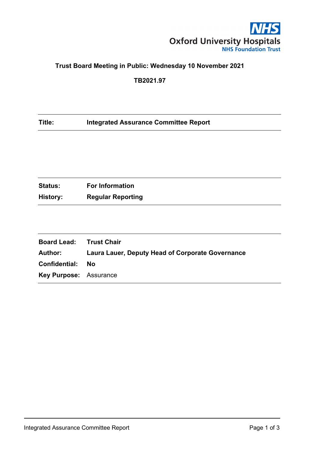

# **Trust Board Meeting in Public: Wednesday 10 November 2021**

**TB2021.97**

## **Title: Integrated Assurance Committee Report**

| <b>Status:</b> | <b>For Information</b>   |
|----------------|--------------------------|
| History:       | <b>Regular Reporting</b> |

| <b>Board Lead: Trust Chair</b> |                                                         |
|--------------------------------|---------------------------------------------------------|
| Author:                        | <b>Laura Lauer, Deputy Head of Corporate Governance</b> |
| Confidential:                  | - No                                                    |
| <b>Key Purpose: Assurance</b>  |                                                         |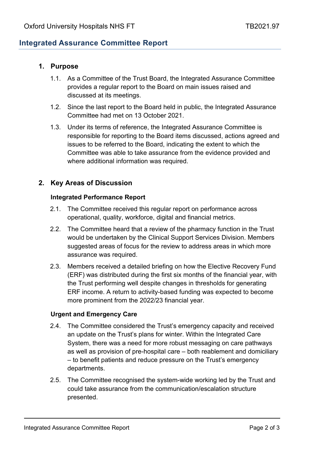# **Integrated Assurance Committee Report**

## **1. Purpose**

- 1.1. As a Committee of the Trust Board, the Integrated Assurance Committee provides a regular report to the Board on main issues raised and discussed at its meetings.
- 1.2. Since the last report to the Board held in public, the Integrated Assurance Committee had met on 13 October 2021.
- 1.3. Under its terms of reference, the Integrated Assurance Committee is responsible for reporting to the Board items discussed, actions agreed and issues to be referred to the Board, indicating the extent to which the Committee was able to take assurance from the evidence provided and where additional information was required.

## **2. Key Areas of Discussion**

#### **Integrated Performance Report**

- 2.1. The Committee received this regular report on performance across operational, quality, workforce, digital and financial metrics.
- 2.2. The Committee heard that a review of the pharmacy function in the Trust would be undertaken by the Clinical Support Services Division. Members suggested areas of focus for the review to address areas in which more assurance was required.
- 2.3. Members received a detailed briefing on how the Elective Recovery Fund (ERF) was distributed during the first six months of the financial year, with the Trust performing well despite changes in thresholds for generating ERF income. A return to activity-based funding was expected to become more prominent from the 2022/23 financial year.

### **Urgent and Emergency Care**

- 2.4. The Committee considered the Trust's emergency capacity and received an update on the Trust's plans for winter. Within the Integrated Care System, there was a need for more robust messaging on care pathways as well as provision of pre-hospital care – both reablement and domiciliary – to benefit patients and reduce pressure on the Trust's emergency departments.
- 2.5. The Committee recognised the system-wide working led by the Trust and could take assurance from the communication/escalation structure presented.